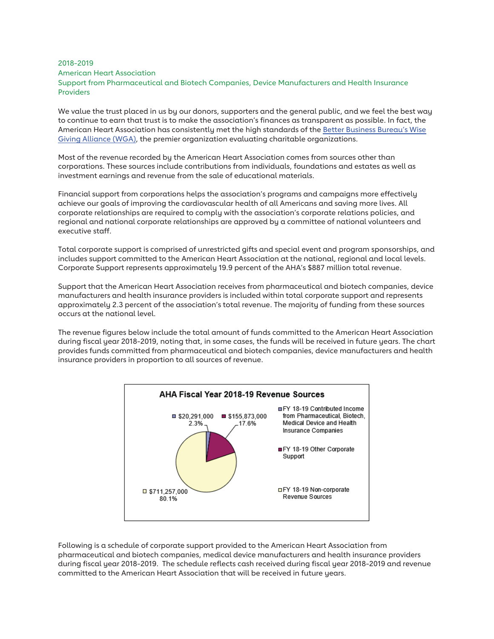## 2018-2019 American Heart Association Support from Pharmaceutical and Biotech Companies, Device Manufacturers and Health Insurance Providers

We value the trust placed in us by our donors, supporters and the general public, and we feel the best way to continue to earn that trust is to make the association's finances as transparent as possible. In fact, the American Heart Association has consistently met the high standards of the Better Business Bureau's Wise Giving Alliance (WGA), the premier organization evaluating charitable organizations.

Most of the revenue recorded by the American Heart Association comes from sources other than corporations. These sources include contributions from individuals, foundations and estates as well as investment earnings and revenue from the sale of educational materials.

Financial support from corporations helps the association's programs and campaigns more effectively achieve our goals of improving the cardiovascular health of all Americans and saving more lives. All corporate relationships are required to comply with the association's corporate relations policies, and regional and national corporate relationships are approved by a committee of national volunteers and executive staff.

Total corporate support is comprised of unrestricted gifts and special event and program sponsorships, and includes support committed to the American Heart Association at the national, regional and local levels. Corporate Support represents approximately 19.9 percent of the AHA's \$887 million total revenue.

Support that the American Heart Association receives from pharmaceutical and biotech companies, device manufacturers and health insurance providers is included within total corporate support and represents approximately 2.3 percent of the association's total revenue. The majority of funding from these sources occurs at the national level.

The revenue figures below include the total amount of funds committed to the American Heart Association during fiscal year 2018-2019, noting that, in some cases, the funds will be received in future years. The chart provides funds committed from pharmaceutical and biotech companies, device manufacturers and health insurance providers in proportion to all sources of revenue.



Following is a schedule of corporate support provided to the American Heart Association from pharmaceutical and biotech companies, medical device manufacturers and health insurance providers during fiscal year 2018-2019. The schedule reflects cash received during fiscal year 2018-2019 and revenue committed to the American Heart Association that will be received in future years.